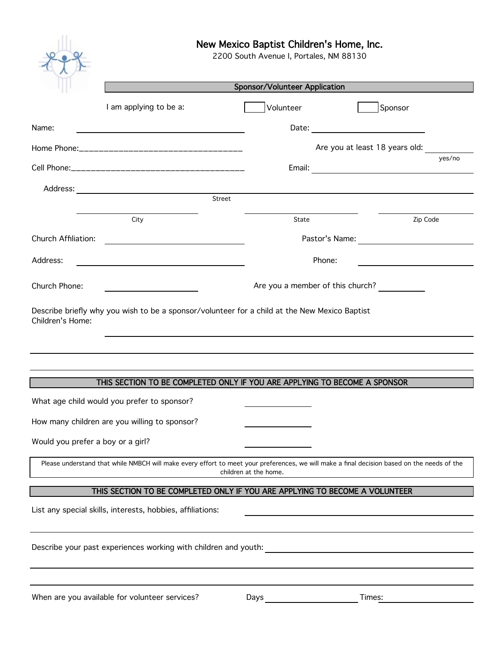

# New Mexico Baptist Children's Home, Inc.

2200 South Avenue I, Portales, NM 88130

|                                   | Sponsor/Volunteer Application                                                                                                               |                       |                                  |        |  |
|-----------------------------------|---------------------------------------------------------------------------------------------------------------------------------------------|-----------------------|----------------------------------|--------|--|
|                                   | I am applying to be a:                                                                                                                      | Volunteer             | Sponsor                          |        |  |
| Name:                             |                                                                                                                                             |                       |                                  |        |  |
|                                   |                                                                                                                                             |                       | Are you at least 18 years old:   |        |  |
|                                   |                                                                                                                                             |                       |                                  | yes/no |  |
|                                   |                                                                                                                                             |                       |                                  |        |  |
|                                   | Street                                                                                                                                      |                       |                                  |        |  |
|                                   | City                                                                                                                                        | State                 | Zip Code                         |        |  |
| Church Affiliation:               |                                                                                                                                             |                       | Pastor's Name:                   |        |  |
| Address:                          |                                                                                                                                             | Phone:                |                                  |        |  |
| Church Phone:                     |                                                                                                                                             |                       | Are you a member of this church? |        |  |
| Children's Home:                  | Describe briefly why you wish to be a sponsor/volunteer for a child at the New Mexico Baptist                                               |                       |                                  |        |  |
|                                   |                                                                                                                                             |                       |                                  |        |  |
|                                   |                                                                                                                                             |                       |                                  |        |  |
|                                   | THIS SECTION TO BE COMPLETED ONLY IF YOU ARE APPLYING TO BECOME A SPONSOR                                                                   |                       |                                  |        |  |
|                                   | What age child would you prefer to sponsor?                                                                                                 |                       |                                  |        |  |
|                                   | How many children are you willing to sponsor?                                                                                               |                       |                                  |        |  |
| Would you prefer a boy or a girl? |                                                                                                                                             |                       |                                  |        |  |
|                                   | Please understand that while NMBCH will make every effort to meet your preferences, we will make a final decision based on the needs of the | children at the home. |                                  |        |  |
|                                   | THIS SECTION TO BE COMPLETED ONLY IF YOU ARE APPLYING TO BECOME A VOLUNTEER                                                                 |                       |                                  |        |  |
|                                   | List any special skills, interests, hobbies, affiliations:                                                                                  |                       |                                  |        |  |
|                                   |                                                                                                                                             |                       |                                  |        |  |
|                                   | Describe your past experiences working with children and youth:                                                                             |                       |                                  |        |  |
|                                   |                                                                                                                                             |                       |                                  |        |  |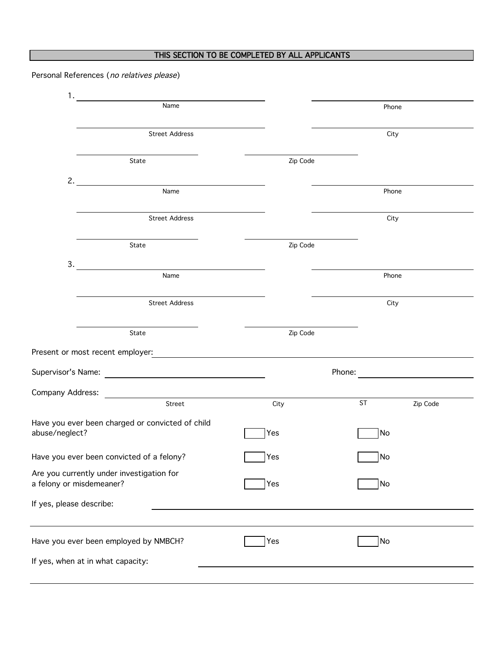## THIS SECTION TO BE COMPLETED BY ALL APPLICANTS

Personal References (no relatives please)

|                                                                       | Name                  |             | Phone                                   |  |
|-----------------------------------------------------------------------|-----------------------|-------------|-----------------------------------------|--|
|                                                                       | <b>Street Address</b> |             | City                                    |  |
|                                                                       | State                 | Zip Code    |                                         |  |
|                                                                       | 2. $\qquad \qquad$    |             |                                         |  |
|                                                                       | Name                  |             | Phone                                   |  |
|                                                                       | <b>Street Address</b> |             | City                                    |  |
|                                                                       | State                 | Zip Code    |                                         |  |
| 3.                                                                    |                       |             |                                         |  |
|                                                                       | Name                  |             | Phone                                   |  |
|                                                                       | <b>Street Address</b> |             | City                                    |  |
|                                                                       | State                 | Zip Code    |                                         |  |
|                                                                       |                       |             |                                         |  |
|                                                                       |                       |             | Phone: <u>_________________________</u> |  |
|                                                                       |                       |             |                                         |  |
|                                                                       | Street                | City        | ST <sub>1</sub><br>Zip Code             |  |
| Have you ever been charged or convicted of child<br>abuse/neglect?    |                       | Yes         | No                                      |  |
| Have you ever been convicted of a felony?                             |                       | <b>T</b> es | No                                      |  |
| Are you currently under investigation for<br>a felony or misdemeaner? |                       | Yes         | No                                      |  |
| If yes, please describe:                                              |                       |             |                                         |  |
|                                                                       |                       | Yes         | <b>No</b>                               |  |
| Have you ever been employed by NMBCH?                                 |                       |             |                                         |  |
| If yes, when at in what capacity:                                     |                       |             |                                         |  |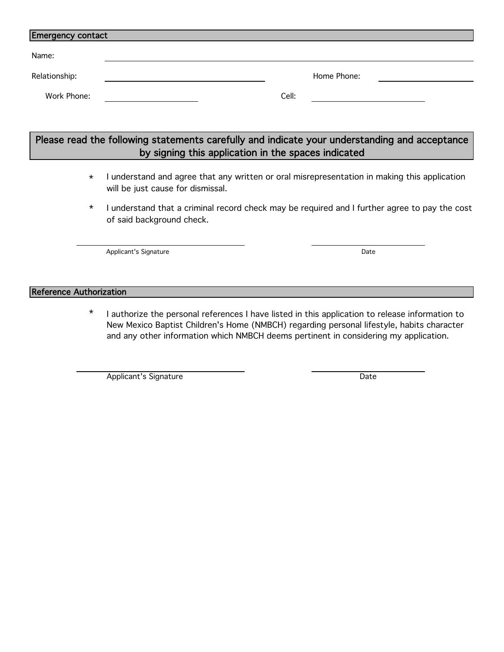| <b>Emergency contact</b> |       |             |  |  |  |
|--------------------------|-------|-------------|--|--|--|
| Name:                    |       |             |  |  |  |
| Relationship:            |       | Home Phone: |  |  |  |
| Work Phone:              | Cell: |             |  |  |  |

| Please read the following statements carefully and indicate your understanding and acceptance |
|-----------------------------------------------------------------------------------------------|
| by signing this application in the spaces indicated                                           |

- \* I understand and agree that any written or oral misrepresentation in making this application will be just cause for dismissal.
- \* I understand that a criminal record check may be required and I further agree to pay the cost of said background check.

Applicant's Signature Date Date Date Date

### Reference Authorization

\* I authorize the personal references I have listed in this application to release information to New Mexico Baptist Children's Home (NMBCH) regarding personal lifestyle, habits character and any other information which NMBCH deems pertinent in considering my application.

Applicant's Signature Date